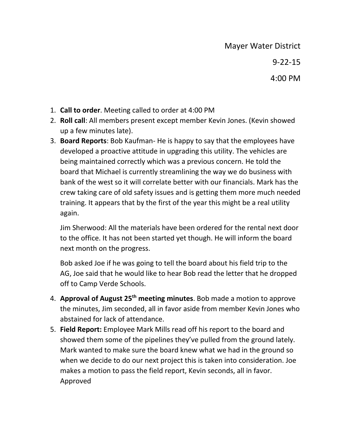- 1. **Call to order**. Meeting called to order at 4:00 PM
- 2. **Roll call**: All members present except member Kevin Jones. (Kevin showed up a few minutes late).
- 3. **Board Reports**: Bob Kaufman- He is happy to say that the employees have developed a proactive attitude in upgrading this utility. The vehicles are being maintained correctly which was a previous concern. He told the board that Michael is currently streamlining the way we do business with bank of the west so it will correlate better with our financials. Mark has the crew taking care of old safety issues and is getting them more much needed training. It appears that by the first of the year this might be a real utility again.

Jim Sherwood: All the materials have been ordered for the rental next door to the office. It has not been started yet though. He will inform the board next month on the progress.

Bob asked Joe if he was going to tell the board about his field trip to the AG, Joe said that he would like to hear Bob read the letter that he dropped off to Camp Verde Schools.

- 4. **Approval of August 25th meeting minutes**. Bob made a motion to approve the minutes, Jim seconded, all in favor aside from member Kevin Jones who abstained for lack of attendance.
- 5. **Field Report:** Employee Mark Mills read off his report to the board and showed them some of the pipelines they've pulled from the ground lately. Mark wanted to make sure the board knew what we had in the ground so when we decide to do our next project this is taken into consideration. Joe makes a motion to pass the field report, Kevin seconds, all in favor. Approved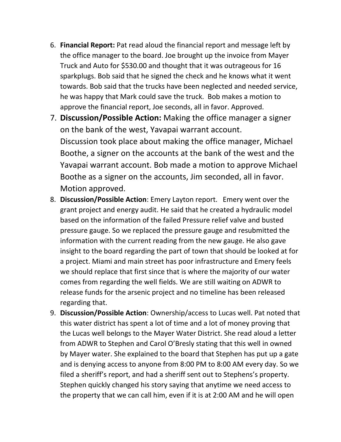- 6. **Financial Report:** Pat read aloud the financial report and message left by the office manager to the board. Joe brought up the invoice from Mayer Truck and Auto for \$530.00 and thought that it was outrageous for 16 sparkplugs. Bob said that he signed the check and he knows what it went towards. Bob said that the trucks have been neglected and needed service, he was happy that Mark could save the truck. Bob makes a motion to approve the financial report, Joe seconds, all in favor. Approved.
- 7. **Discussion/Possible Action:** Making the office manager a signer on the bank of the west, Yavapai warrant account. Discussion took place about making the office manager, Michael Boothe, a signer on the accounts at the bank of the west and the Yavapai warrant account. Bob made a motion to approve Michael Boothe as a signer on the accounts, Jim seconded, all in favor. Motion approved.
- 8. **Discussion/Possible Action**: Emery Layton report. Emery went over the grant project and energy audit. He said that he created a hydraulic model based on the information of the failed Pressure relief valve and busted pressure gauge. So we replaced the pressure gauge and resubmitted the information with the current reading from the new gauge. He also gave insight to the board regarding the part of town that should be looked at for a project. Miami and main street has poor infrastructure and Emery feels we should replace that first since that is where the majority of our water comes from regarding the well fields. We are still waiting on ADWR to release funds for the arsenic project and no timeline has been released regarding that.
- 9. **Discussion/Possible Action**: Ownership/access to Lucas well. Pat noted that this water district has spent a lot of time and a lot of money proving that the Lucas well belongs to the Mayer Water District. She read aloud a letter from ADWR to Stephen and Carol O'Bresly stating that this well in owned by Mayer water. She explained to the board that Stephen has put up a gate and is denying access to anyone from 8:00 PM to 8:00 AM every day. So we filed a sheriff's report, and had a sheriff sent out to Stephens's property. Stephen quickly changed his story saying that anytime we need access to the property that we can call him, even if it is at 2:00 AM and he will open